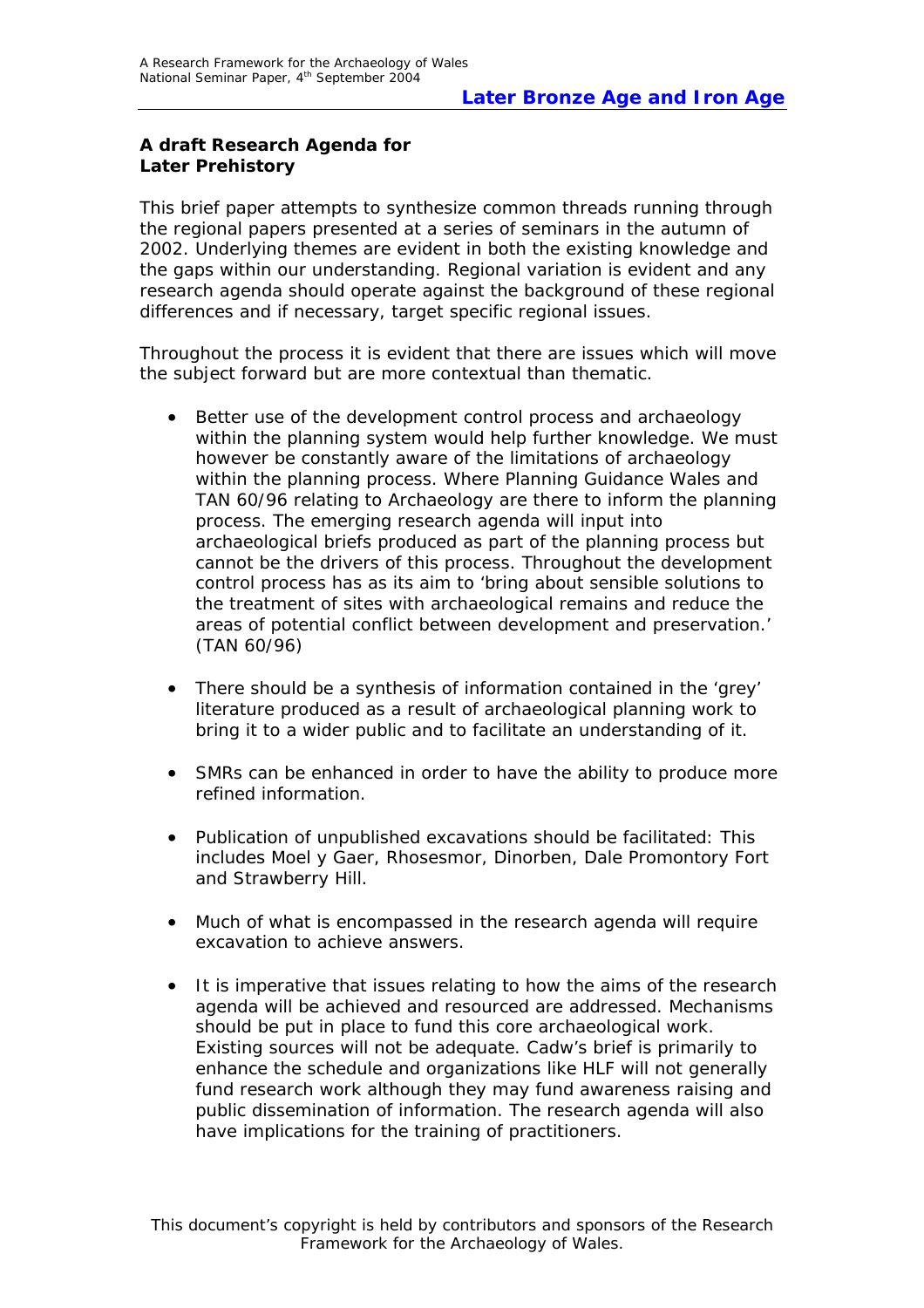# **A draft Research Agenda for Later Prehistory**

This brief paper attempts to synthesize common threads running through the regional papers presented at a series of seminars in the autumn of 2002. Underlying themes are evident in both the existing knowledge and the gaps within our understanding. Regional variation is evident and any research agenda should operate against the background of these regional differences and if necessary, target specific regional issues.

Throughout the process it is evident that there are issues which will move the subject forward but are more contextual than thematic.

- Better use of the development control process and archaeology within the planning system would help further knowledge. We must however be constantly aware of the limitations of archaeology within the planning process. Where Planning Guidance Wales and TAN 60/96 relating to Archaeology are there to inform the planning process. The emerging research agenda will input into archaeological briefs produced as part of the planning process but cannot be the drivers of this process. Throughout the development control process has as its aim to 'bring about sensible solutions to the treatment of sites with archaeological remains and reduce the areas of potential conflict between development and preservation.' (TAN 60/96)
- There should be a synthesis of information contained in the 'grey' literature produced as a result of archaeological planning work to bring it to a wider public and to facilitate an understanding of it.
- SMRs can be enhanced in order to have the ability to produce more refined information.
- Publication of unpublished excavations should be facilitated: This includes Moel y Gaer, Rhosesmor, Dinorben, Dale Promontory Fort and Strawberry Hill.
- Much of what is encompassed in the research agenda will require excavation to achieve answers.
- It is imperative that issues relating to how the aims of the research agenda will be achieved and resourced are addressed. Mechanisms should be put in place to fund this core archaeological work. Existing sources will not be adequate. Cadw's brief is primarily to enhance the schedule and organizations like HLF will not generally fund research work although they may fund awareness raising and public dissemination of information. The research agenda will also have implications for the training of practitioners.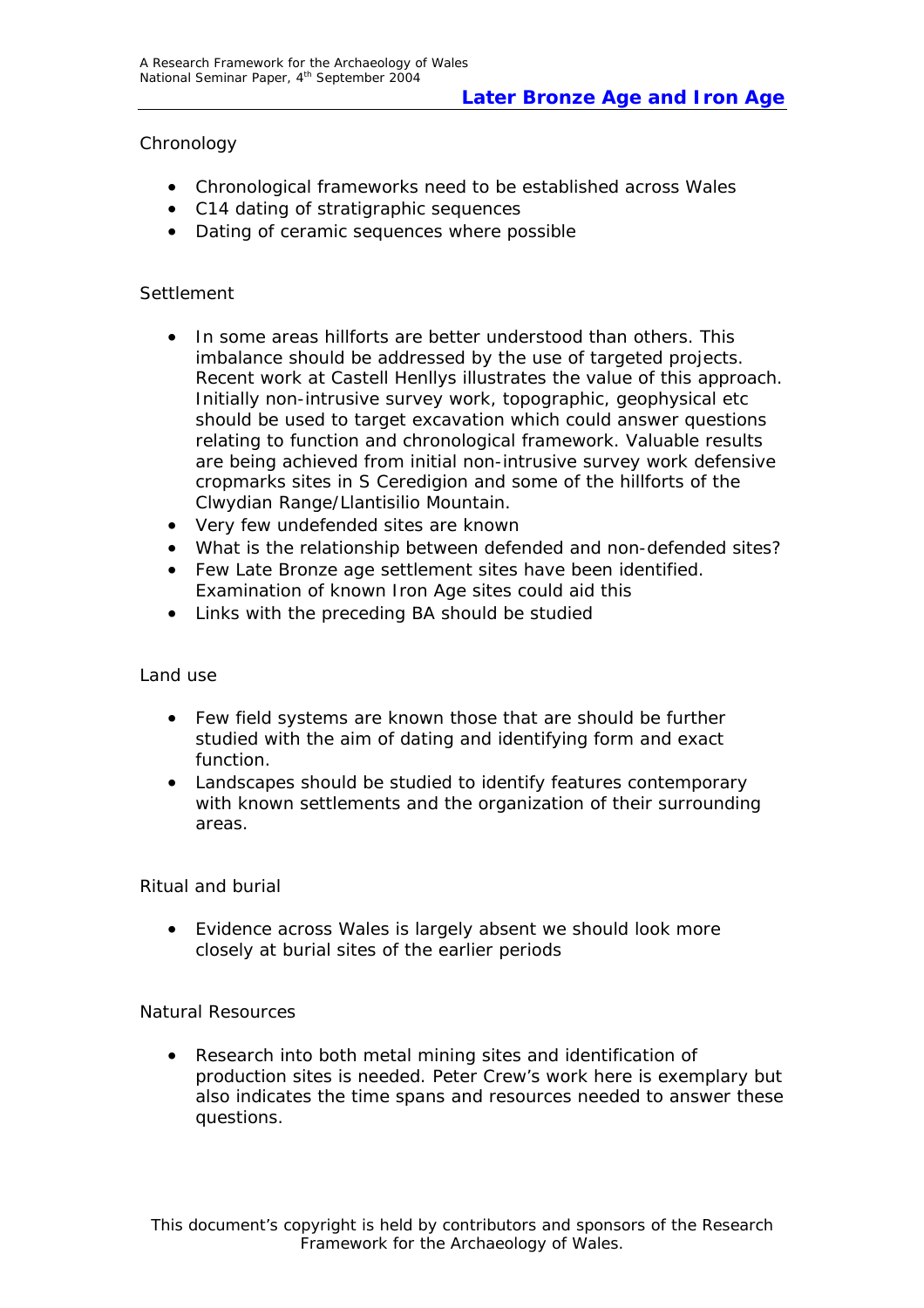### Chronology

- Chronological frameworks need to be established across Wales
- C14 dating of stratigraphic sequences
- Dating of ceramic sequences where possible

## Settlement

- In some areas hillforts are better understood than others. This imbalance should be addressed by the use of targeted projects. Recent work at Castell Henllys illustrates the value of this approach. Initially non-intrusive survey work, topographic, geophysical etc should be used to target excavation which could answer questions relating to function and chronological framework. Valuable results are being achieved from initial non-intrusive survey work defensive cropmarks sites in S Ceredigion and some of the hillforts of the Clwydian Range/Llantisilio Mountain.
- Very few undefended sites are known
- What is the relationship between defended and non-defended sites?
- Few Late Bronze age settlement sites have been identified. Examination of known Iron Age sites could aid this
- Links with the preceding BA should be studied

### Land use

- Few field systems are known those that are should be further studied with the aim of dating and identifying form and exact function.
- Landscapes should be studied to identify features contemporary with known settlements and the organization of their surrounding areas.

### Ritual and burial

• Evidence across Wales is largely absent we should look more closely at burial sites of the earlier periods

### Natural Resources

• Research into both metal mining sites and identification of production sites is needed. Peter Crew's work here is exemplary but also indicates the time spans and resources needed to answer these questions.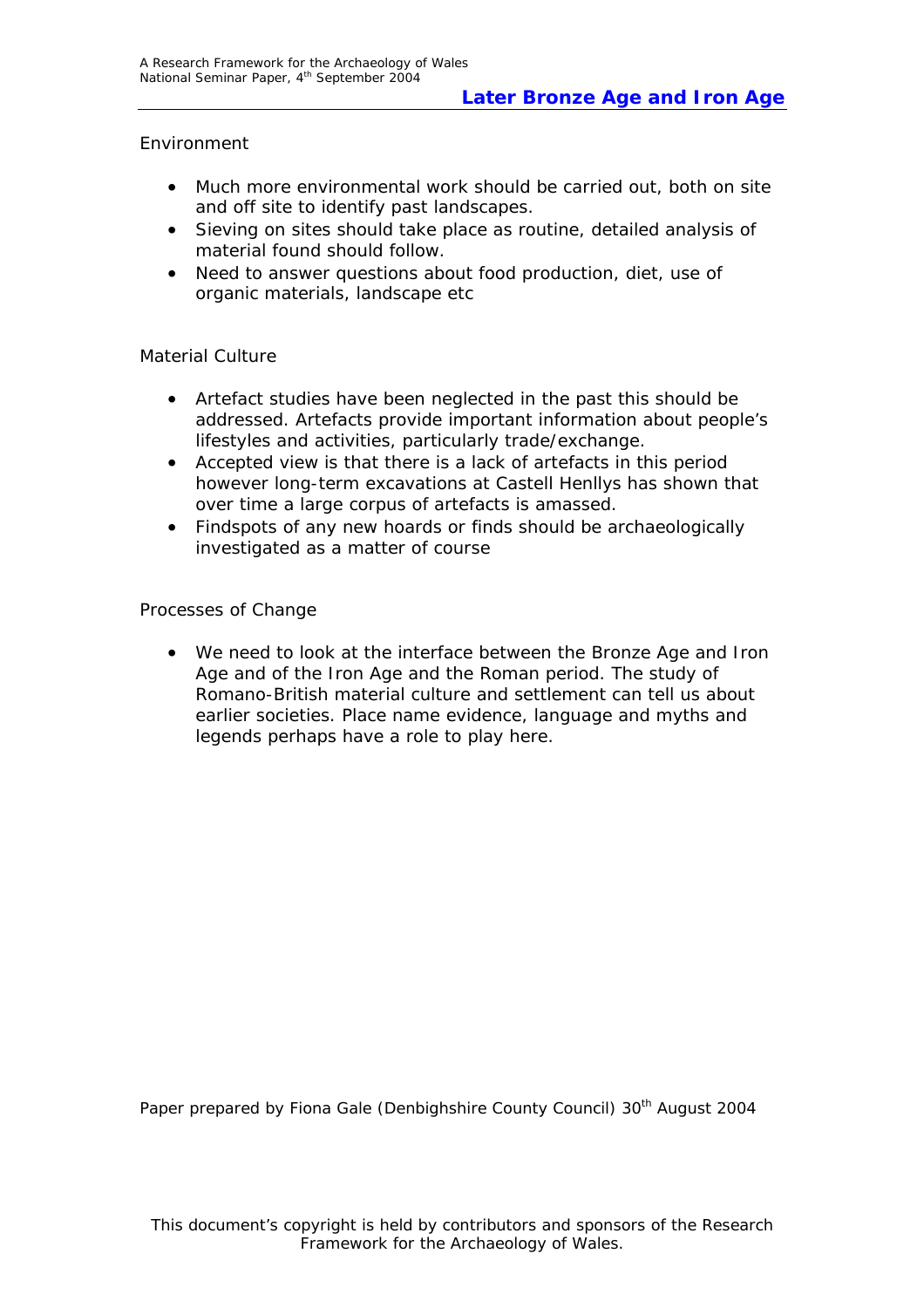### Environment

- Much more environmental work should be carried out, both on site and off site to identify past landscapes.
- Sieving on sites should take place as routine, detailed analysis of material found should follow.
- Need to answer questions about food production, diet, use of organic materials, landscape etc

### Material Culture

- Artefact studies have been neglected in the past this should be addressed. Artefacts provide important information about people's lifestyles and activities, particularly trade/exchange.
- Accepted view is that there is a lack of artefacts in this period however long-term excavations at Castell Henllys has shown that over time a large corpus of artefacts is amassed.
- Findspots of any new hoards or finds should be archaeologically investigated as a matter of course

#### Processes of Change

• We need to look at the interface between the Bronze Age and Iron Age and of the Iron Age and the Roman period. The study of Romano-British material culture and settlement can tell us about earlier societies. Place name evidence, language and myths and legends perhaps have a role to play here.

Paper prepared by Fiona Gale (Denbighshire County Council) 30<sup>th</sup> August 2004